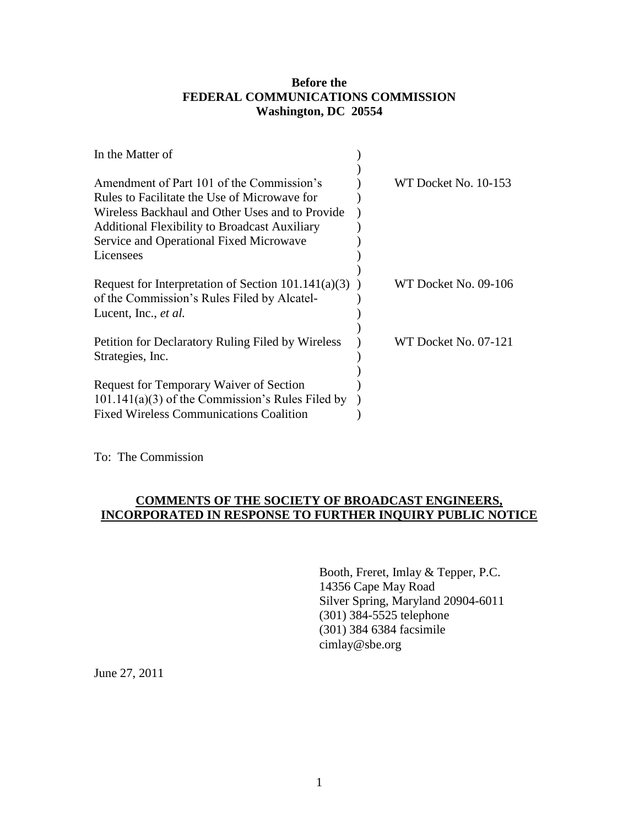## **Before the FEDERAL COMMUNICATIONS COMMISSION Washington, DC 20554**

|                                                         | WT Docket No. 10-153 |
|---------------------------------------------------------|----------------------|
|                                                         |                      |
|                                                         |                      |
|                                                         |                      |
|                                                         |                      |
|                                                         |                      |
|                                                         |                      |
| Request for Interpretation of Section $101.141(a)(3)$ ) | WT Docket No. 09-106 |
|                                                         |                      |
|                                                         |                      |
|                                                         | WT Docket No. 07-121 |
|                                                         |                      |
|                                                         |                      |
|                                                         |                      |
|                                                         |                      |
|                                                         |                      |
|                                                         |                      |

To: The Commission

## **COMMENTS OF THE SOCIETY OF BROADCAST ENGINEERS, INCORPORATED IN RESPONSE TO FURTHER INQUIRY PUBLIC NOTICE**

Booth, Freret, Imlay & Tepper, P.C. 14356 Cape May Road Silver Spring, Maryland 20904-6011 (301) 384-5525 telephone (301) 384 6384 facsimile cimlay@sbe.org

June 27, 2011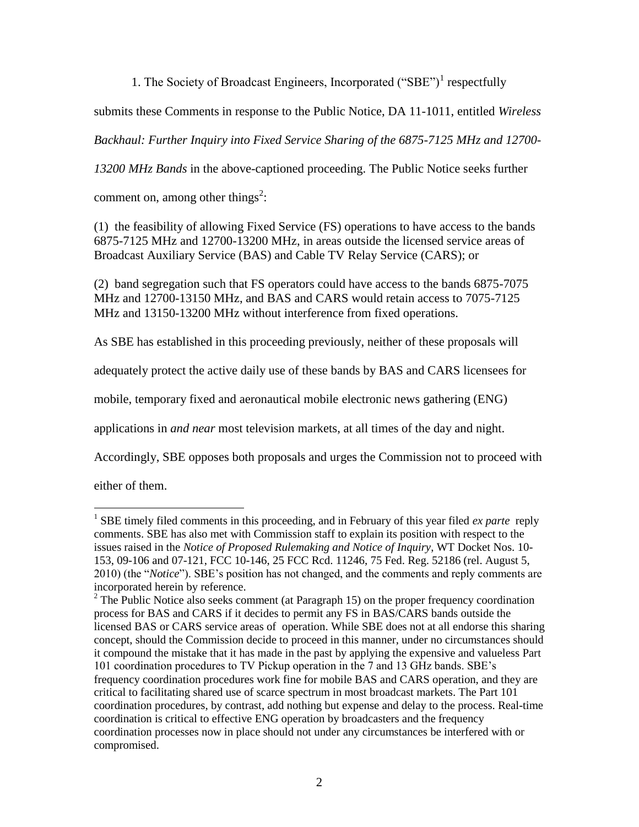1. The Society of Broadcast Engineers, Incorporated ("SBE")<sup>1</sup> respectfully

submits these Comments in response to the Public Notice, DA 11-1011, entitled *Wireless* 

*Backhaul: Further Inquiry into Fixed Service Sharing of the 6875-7125 MHz and 12700-*

*13200 MHz Bands* in the above-captioned proceeding. The Public Notice seeks further

comment on, among other things<sup>2</sup>:

(1) the feasibility of allowing Fixed Service (FS) operations to have access to the bands 6875-7125 MHz and 12700-13200 MHz, in areas outside the licensed service areas of Broadcast Auxiliary Service (BAS) and Cable TV Relay Service (CARS); or

(2) band segregation such that FS operators could have access to the bands 6875-7075 MHz and 12700-13150 MHz, and BAS and CARS would retain access to 7075-7125 MHz and 13150-13200 MHz without interference from fixed operations.

As SBE has established in this proceeding previously, neither of these proposals will

adequately protect the active daily use of these bands by BAS and CARS licensees for

mobile, temporary fixed and aeronautical mobile electronic news gathering (ENG)

applications in *and near* most television markets, at all times of the day and night.

Accordingly, SBE opposes both proposals and urges the Commission not to proceed with

either of them.

 $\overline{a}$ <sup>1</sup> SBE timely filed comments in this proceeding, and in February of this year filed *ex parte* reply comments. SBE has also met with Commission staff to explain its position with respect to the issues raised in the *Notice of Proposed Rulemaking and Notice of Inquiry*, WT Docket Nos. 10- 153, 09-106 and 07-121, FCC 10-146, 25 FCC Rcd. 11246, 75 Fed. Reg. 52186 (rel. August 5, 2010) (the "*Notice*"). SBE's position has not changed, and the comments and reply comments are incorporated herein by reference.

 $2$  The Public Notice also seeks comment (at Paragraph 15) on the proper frequency coordination process for BAS and CARS if it decides to permit any FS in BAS/CARS bands outside the licensed BAS or CARS service areas of operation. While SBE does not at all endorse this sharing concept, should the Commission decide to proceed in this manner, under no circumstances should it compound the mistake that it has made in the past by applying the expensive and valueless Part 101 coordination procedures to TV Pickup operation in the 7 and 13 GHz bands. SBE's frequency coordination procedures work fine for mobile BAS and CARS operation, and they are critical to facilitating shared use of scarce spectrum in most broadcast markets. The Part 101 coordination procedures, by contrast, add nothing but expense and delay to the process. Real-time coordination is critical to effective ENG operation by broadcasters and the frequency coordination processes now in place should not under any circumstances be interfered with or compromised.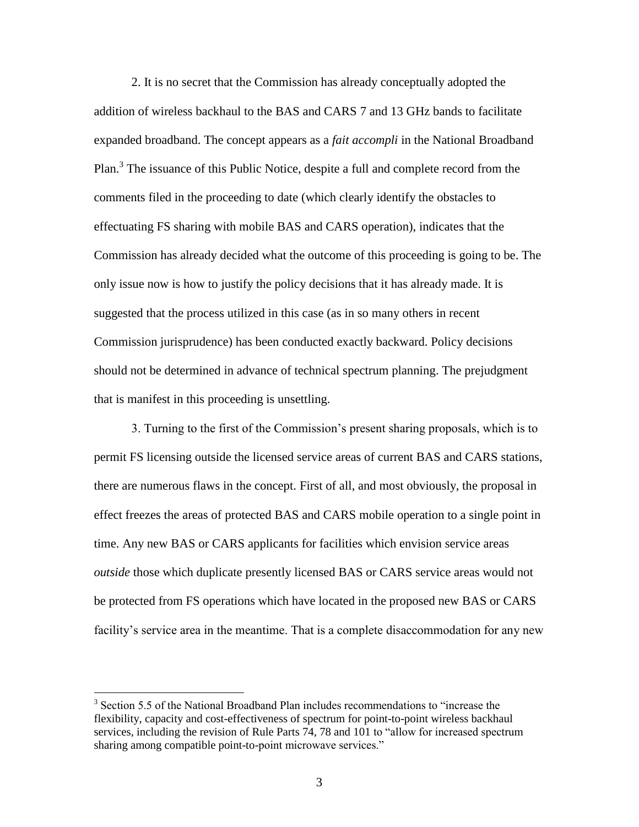2. It is no secret that the Commission has already conceptually adopted the addition of wireless backhaul to the BAS and CARS 7 and 13 GHz bands to facilitate expanded broadband. The concept appears as a *fait accompli* in the National Broadband Plan.<sup>3</sup> The issuance of this Public Notice, despite a full and complete record from the comments filed in the proceeding to date (which clearly identify the obstacles to effectuating FS sharing with mobile BAS and CARS operation), indicates that the Commission has already decided what the outcome of this proceeding is going to be. The only issue now is how to justify the policy decisions that it has already made. It is suggested that the process utilized in this case (as in so many others in recent Commission jurisprudence) has been conducted exactly backward. Policy decisions should not be determined in advance of technical spectrum planning. The prejudgment that is manifest in this proceeding is unsettling.

3. Turning to the first of the Commission's present sharing proposals, which is to permit FS licensing outside the licensed service areas of current BAS and CARS stations, there are numerous flaws in the concept. First of all, and most obviously, the proposal in effect freezes the areas of protected BAS and CARS mobile operation to a single point in time. Any new BAS or CARS applicants for facilities which envision service areas *outside* those which duplicate presently licensed BAS or CARS service areas would not be protected from FS operations which have located in the proposed new BAS or CARS facility's service area in the meantime. That is a complete disaccommodation for any new

 $\overline{a}$ 

<sup>&</sup>lt;sup>3</sup> Section 5.5 of the National Broadband Plan includes recommendations to "increase the flexibility, capacity and cost-effectiveness of spectrum for point-to-point wireless backhaul services, including the revision of Rule Parts 74, 78 and 101 to "allow for increased spectrum sharing among compatible point-to-point microwave services."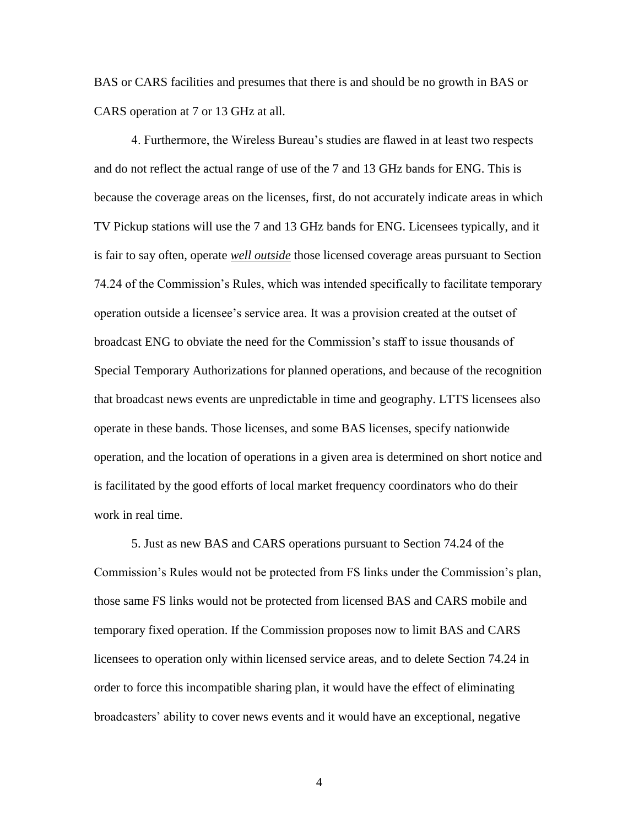BAS or CARS facilities and presumes that there is and should be no growth in BAS or CARS operation at 7 or 13 GHz at all.

4. Furthermore, the Wireless Bureau's studies are flawed in at least two respects and do not reflect the actual range of use of the 7 and 13 GHz bands for ENG. This is because the coverage areas on the licenses, first, do not accurately indicate areas in which TV Pickup stations will use the 7 and 13 GHz bands for ENG. Licensees typically, and it is fair to say often, operate *well outside* those licensed coverage areas pursuant to Section 74.24 of the Commission's Rules, which was intended specifically to facilitate temporary operation outside a licensee's service area. It was a provision created at the outset of broadcast ENG to obviate the need for the Commission's staff to issue thousands of Special Temporary Authorizations for planned operations, and because of the recognition that broadcast news events are unpredictable in time and geography. LTTS licensees also operate in these bands. Those licenses, and some BAS licenses, specify nationwide operation, and the location of operations in a given area is determined on short notice and is facilitated by the good efforts of local market frequency coordinators who do their work in real time.

5. Just as new BAS and CARS operations pursuant to Section 74.24 of the Commission's Rules would not be protected from FS links under the Commission's plan, those same FS links would not be protected from licensed BAS and CARS mobile and temporary fixed operation. If the Commission proposes now to limit BAS and CARS licensees to operation only within licensed service areas, and to delete Section 74.24 in order to force this incompatible sharing plan, it would have the effect of eliminating broadcasters' ability to cover news events and it would have an exceptional, negative

4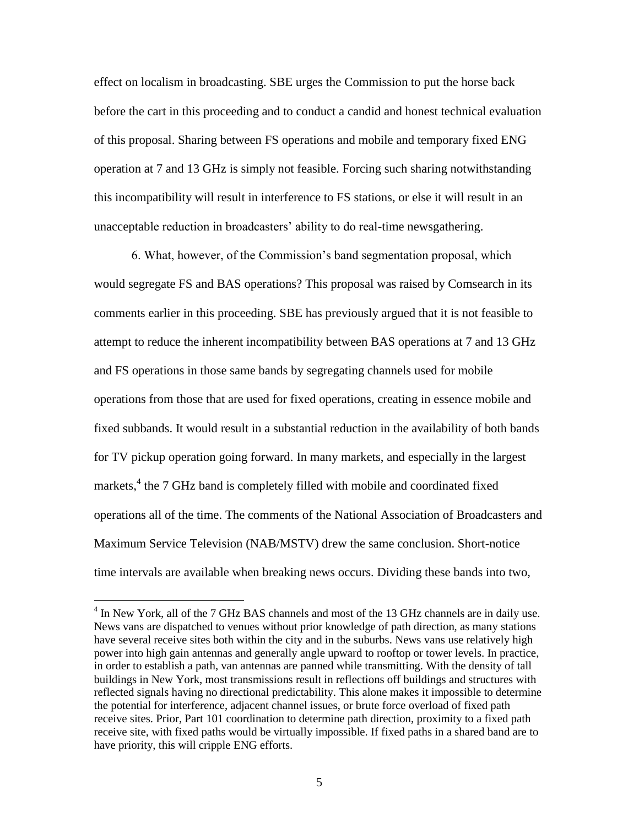effect on localism in broadcasting. SBE urges the Commission to put the horse back before the cart in this proceeding and to conduct a candid and honest technical evaluation of this proposal. Sharing between FS operations and mobile and temporary fixed ENG operation at 7 and 13 GHz is simply not feasible. Forcing such sharing notwithstanding this incompatibility will result in interference to FS stations, or else it will result in an unacceptable reduction in broadcasters' ability to do real-time newsgathering.

6. What, however, of the Commission's band segmentation proposal, which would segregate FS and BAS operations? This proposal was raised by Comsearch in its comments earlier in this proceeding. SBE has previously argued that it is not feasible to attempt to reduce the inherent incompatibility between BAS operations at 7 and 13 GHz and FS operations in those same bands by segregating channels used for mobile operations from those that are used for fixed operations, creating in essence mobile and fixed subbands. It would result in a substantial reduction in the availability of both bands for TV pickup operation going forward. In many markets, and especially in the largest markets,<sup>4</sup> the 7 GHz band is completely filled with mobile and coordinated fixed operations all of the time. The comments of the National Association of Broadcasters and Maximum Service Television (NAB/MSTV) drew the same conclusion. Short-notice time intervals are available when breaking news occurs. Dividing these bands into two,

 4 In New York, all of the 7 GHz BAS channels and most of the 13 GHz channels are in daily use. News vans are dispatched to venues without prior knowledge of path direction, as many stations have several receive sites both within the city and in the suburbs. News vans use relatively high power into high gain antennas and generally angle upward to rooftop or tower levels. In practice, in order to establish a path, van antennas are panned while transmitting. With the density of tall buildings in New York, most transmissions result in reflections off buildings and structures with reflected signals having no directional predictability. This alone makes it impossible to determine the potential for interference, adjacent channel issues, or brute force overload of fixed path receive sites. Prior, Part 101 coordination to determine path direction, proximity to a fixed path receive site, with fixed paths would be virtually impossible. If fixed paths in a shared band are to have priority, this will cripple ENG efforts.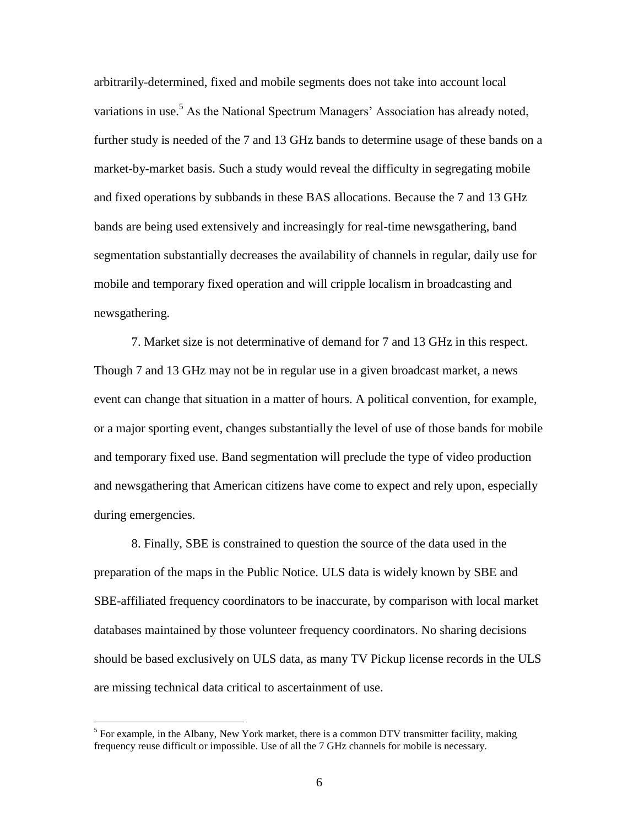arbitrarily-determined, fixed and mobile segments does not take into account local variations in use.<sup>5</sup> As the National Spectrum Managers' Association has already noted, further study is needed of the 7 and 13 GHz bands to determine usage of these bands on a market-by-market basis. Such a study would reveal the difficulty in segregating mobile and fixed operations by subbands in these BAS allocations. Because the 7 and 13 GHz bands are being used extensively and increasingly for real-time newsgathering, band segmentation substantially decreases the availability of channels in regular, daily use for mobile and temporary fixed operation and will cripple localism in broadcasting and newsgathering.

7. Market size is not determinative of demand for 7 and 13 GHz in this respect. Though 7 and 13 GHz may not be in regular use in a given broadcast market, a news event can change that situation in a matter of hours. A political convention, for example, or a major sporting event, changes substantially the level of use of those bands for mobile and temporary fixed use. Band segmentation will preclude the type of video production and newsgathering that American citizens have come to expect and rely upon, especially during emergencies.

8. Finally, SBE is constrained to question the source of the data used in the preparation of the maps in the Public Notice. ULS data is widely known by SBE and SBE-affiliated frequency coordinators to be inaccurate, by comparison with local market databases maintained by those volunteer frequency coordinators. No sharing decisions should be based exclusively on ULS data, as many TV Pickup license records in the ULS are missing technical data critical to ascertainment of use.

 $\overline{a}$ 

 $<sup>5</sup>$  For example, in the Albany, New York market, there is a common DTV transmitter facility, making</sup> frequency reuse difficult or impossible. Use of all the 7 GHz channels for mobile is necessary.